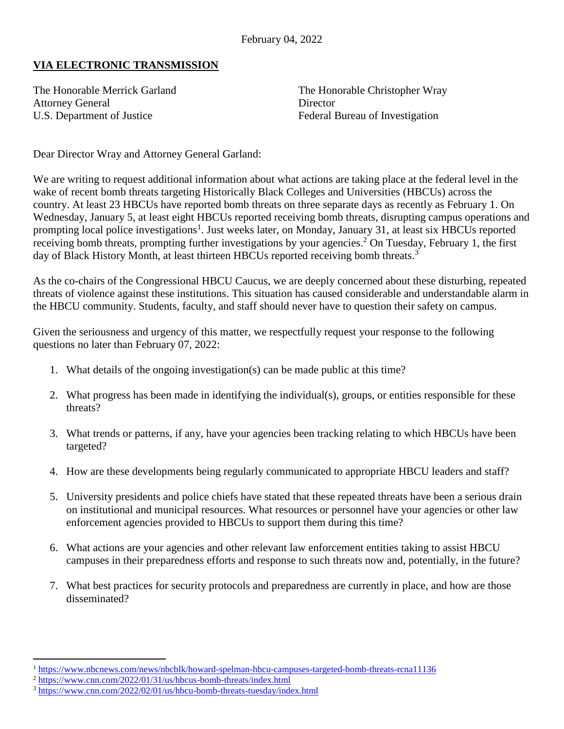## **VIA ELECTRONIC TRANSMISSION**

Attorney General Director U.S. Department of Justice Federal Bureau of Investigation

The Honorable Merrick Garland The Honorable Christopher Wray

Dear Director Wray and Attorney General Garland:

We are writing to request additional information about what actions are taking place at the federal level in the wake of recent bomb threats targeting Historically Black Colleges and Universities (HBCUs) across the country. At least 23 HBCUs have reported bomb threats on three separate days as recently as February 1. On Wednesday, January 5, at least eight HBCUs reported receiving bomb threats, disrupting campus operations and prompting local police investigations<sup>1</sup>. Just weeks later, on Monday, January 31, at least six HBCUs reported receiving bomb threats, prompting further investigations by your agencies. <sup>2</sup> On Tuesday, February 1, the first day of Black History Month, at least thirteen HBCUs reported receiving bomb threats.<sup>3</sup>

As the co-chairs of the Congressional HBCU Caucus, we are deeply concerned about these disturbing, repeated threats of violence against these institutions. This situation has caused considerable and understandable alarm in the HBCU community. Students, faculty, and staff should never have to question their safety on campus.

Given the seriousness and urgency of this matter, we respectfully request your response to the following questions no later than February 07, 2022:

- 1. What details of the ongoing investigation(s) can be made public at this time?
- 2. What progress has been made in identifying the individual(s), groups, or entities responsible for these threats?
- 3. What trends or patterns, if any, have your agencies been tracking relating to which HBCUs have been targeted?
- 4. How are these developments being regularly communicated to appropriate HBCU leaders and staff?
- 5. University presidents and police chiefs have stated that these repeated threats have been a serious drain on institutional and municipal resources. What resources or personnel have your agencies or other law enforcement agencies provided to HBCUs to support them during this time?
- 6. What actions are your agencies and other relevant law enforcement entities taking to assist HBCU campuses in their preparedness efforts and response to such threats now and, potentially, in the future?
- 7. What best practices for security protocols and preparedness are currently in place, and how are those disseminated?

 $\overline{a}$ 

<sup>1</sup> <https://www.nbcnews.com/news/nbcblk/howard-spelman-hbcu-campuses-targeted-bomb-threats-rcna11136>

<sup>2</sup> <https://www.cnn.com/2022/01/31/us/hbcus-bomb-threats/index.html>

<sup>&</sup>lt;sup>3</sup> <https://www.cnn.com/2022/02/01/us/hbcu-bomb-threats-tuesday/index.html>